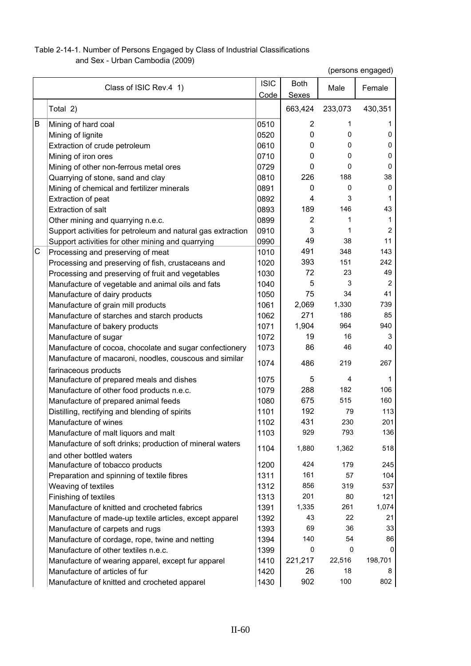## Table 2-14-1. Number of Persons Engaged by Class of Industrial Classifications

and Sex - Urban Cambodia (2009)

|   | Class of ISIC Rev.4 1)                                                               | <b>ISIC</b><br>Code | <b>Both</b><br>Sexes | Male    | Female         |
|---|--------------------------------------------------------------------------------------|---------------------|----------------------|---------|----------------|
|   | Total 2)                                                                             |                     | 663,424              | 233,073 | 430,351        |
| B | Mining of hard coal                                                                  | 0510                | 2                    | 1       | 1              |
|   | Mining of lignite                                                                    | 0520                | 0                    | 0       | 0              |
|   | Extraction of crude petroleum                                                        | 0610                | 0                    | 0       | $\Omega$       |
|   | Mining of iron ores                                                                  | 0710                | 0                    | 0       | 0              |
|   | Mining of other non-ferrous metal ores                                               | 0729                | 0                    | 0       | 0              |
|   | Quarrying of stone, sand and clay                                                    | 0810                | 226                  | 188     | 38             |
|   | Mining of chemical and fertilizer minerals                                           | 0891                | 0                    | 0       | $\Omega$       |
|   | Extraction of peat                                                                   | 0892                | 4                    | 3       | 1              |
|   | <b>Extraction of salt</b>                                                            | 0893                | 189                  | 146     | 43             |
|   | Other mining and quarrying n.e.c.                                                    | 0899                | 2                    | 1       | 1              |
|   | Support activities for petroleum and natural gas extraction                          | 0910                | 3                    | 1       | 2              |
|   | Support activities for other mining and quarrying                                    | 0990                | 49                   | 38      | 11             |
| С | Processing and preserving of meat                                                    | 1010                | 491                  | 348     | 143            |
|   | Processing and preserving of fish, crustaceans and                                   | 1020                | 393                  | 151     | 242            |
|   | Processing and preserving of fruit and vegetables                                    | 1030                | 72                   | 23      | 49             |
|   | Manufacture of vegetable and animal oils and fats                                    | 1040                | 5                    | 3       | $\overline{c}$ |
|   | Manufacture of dairy products                                                        | 1050                | 75                   | 34      | 41             |
|   | Manufacture of grain mill products                                                   | 1061                | 2,069                | 1,330   | 739            |
|   | Manufacture of starches and starch products                                          | 1062                | 271                  | 186     | 85             |
|   | Manufacture of bakery products                                                       | 1071                | 1,904                | 964     | 940            |
|   | Manufacture of sugar                                                                 | 1072                | 19                   | 16      | 3              |
|   | Manufacture of cocoa, chocolate and sugar confectionery                              | 1073                | 86                   | 46      | 40             |
|   | Manufacture of macaroni, noodles, couscous and similar<br>farinaceous products       | 1074                | 486                  | 219     | 267            |
|   | Manufacture of prepared meals and dishes                                             | 1075                | 5                    | 4       | 1              |
|   | Manufacture of other food products n.e.c.                                            | 1079                | 288                  | 182     | 106            |
|   | Manufacture of prepared animal feeds                                                 | 1080                | 675                  | 515     | 160            |
|   | Distilling, rectifying and blending of spirits                                       | 1101                | 192                  | 79      | 113            |
|   | Manufacture of wines                                                                 | 1102                | 431                  | 230     | 201            |
|   | Manufacture of malt liquors and malt                                                 | 1103                | 929                  | 793     | 136            |
|   | Manufacture of soft drinks; production of mineral waters<br>and other bottled waters | 1104                | 1,880                | 1,362   | 518            |
|   | Manufacture of tobacco products                                                      | 1200                | 424                  | 179     | 245            |
|   | Preparation and spinning of textile fibres                                           | 1311                | 161                  | 57      | 104            |
|   | Weaving of textiles                                                                  | 1312                | 856                  | 319     | 537            |
|   | Finishing of textiles                                                                | 1313                | 201                  | 80      | 121            |
|   | Manufacture of knitted and crocheted fabrics                                         | 1391                | 1,335                | 261     | 1,074          |
|   | Manufacture of made-up textile articles, except apparel                              | 1392                | 43                   | 22      | 21             |
|   | Manufacture of carpets and rugs                                                      | 1393                | 69                   | 36      | 33             |
|   | Manufacture of cordage, rope, twine and netting                                      | 1394                | 140                  | 54      | 86             |
|   | Manufacture of other textiles n.e.c.                                                 | 1399                | 0                    | 0       | 0              |
|   | Manufacture of wearing apparel, except fur apparel                                   | 1410                | 221,217              | 22,516  | 198,701        |
|   | Manufacture of articles of fur                                                       | 1420                | 26                   | 18      | 8              |
|   | Manufacture of knitted and crocheted apparel                                         | 1430                | 902                  | 100     | 802            |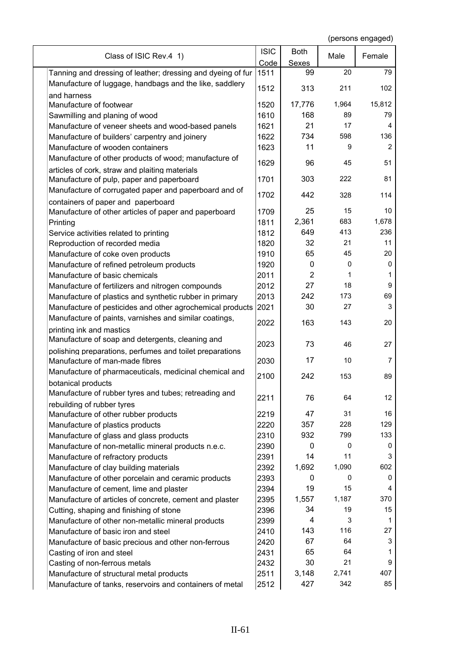| Class of ISIC Rev.4 1)                                                 | <b>ISIC</b> | <b>Both</b>    | Male  | Female  |
|------------------------------------------------------------------------|-------------|----------------|-------|---------|
|                                                                        | Code        | <b>Sexes</b>   |       |         |
| Tanning and dressing of leather; dressing and dyeing of fur            | 1511        | 99             | 20    | 79      |
| Manufacture of luggage, handbags and the like, saddlery<br>and harness | 1512        | 313            | 211   | 102     |
| Manufacture of footwear                                                | 1520        | 17,776         | 1,964 | 15,812  |
| Sawmilling and planing of wood                                         | 1610        | 168            | 89    | 79      |
|                                                                        | 1621        | 21             | 17    | 4       |
| Manufacture of veneer sheets and wood-based panels                     |             |                |       |         |
| Manufacture of builders' carpentry and joinery                         | 1622        | 734            | 598   | 136     |
| Manufacture of wooden containers                                       | 1623        | 11             | 9     | 2       |
| Manufacture of other products of wood; manufacture of                  | 1629        | 96             | 45    | 51      |
| articles of cork, straw and plaiting materials                         |             |                |       |         |
| Manufacture of pulp, paper and paperboard                              | 1701        | 303            | 222   | 81      |
| Manufacture of corrugated paper and paperboard and of                  | 1702        | 442            | 328   | 114     |
| containers of paper and paperboard                                     |             |                |       |         |
| Manufacture of other articles of paper and paperboard                  | 1709        | 25             | 15    | 10      |
| Printing                                                               | 1811        | 2,361          | 683   | 1,678   |
| Service activities related to printing                                 | 1812        | 649            | 413   | 236     |
| Reproduction of recorded media                                         | 1820        | 32             | 21    | 11      |
| Manufacture of coke oven products                                      | 1910        | 65             | 45    | 20      |
| Manufacture of refined petroleum products                              | 1920        | 0              | 0     | 0       |
| Manufacture of basic chemicals                                         | 2011        | $\overline{2}$ | 1     | 1       |
| Manufacture of fertilizers and nitrogen compounds                      | 2012        | 27             | 18    | 9       |
| Manufacture of plastics and synthetic rubber in primary                | 2013        | 242            | 173   | 69      |
| Manufacture of pesticides and other agrochemical products              | 2021        | 30             | 27    | 3       |
| Manufacture of paints, varnishes and similar coatings,                 |             |                |       |         |
| printing ink and mastics                                               | 2022        | 163            | 143   | 20      |
| Manufacture of soap and detergents, cleaning and                       |             |                |       |         |
| polishing preparations, perfumes and toilet preparations               | 2023        | 73             | 46    | 27      |
| Manufacture of man-made fibres                                         | 2030        | 17             | 10    | 7       |
| Manufacture of pharmaceuticals, medicinal chemical and                 |             |                |       |         |
|                                                                        | 2100        | 242            | 153   | 89      |
| botanical products                                                     |             |                |       |         |
| Manufacture of rubber tyres and tubes; retreading and                  | 2211        | 76             | 64    | $12 \,$ |
| rebuilding of rubber tyres                                             |             | 47             | 31    | 16      |
| Manufacture of other rubber products                                   | 2219        |                |       |         |
| Manufacture of plastics products                                       | 2220        | 357            | 228   | 129     |
| Manufacture of glass and glass products                                | 2310        | 932            | 799   | 133     |
| Manufacture of non-metallic mineral products n.e.c.                    | 2390        | 0              | 0     | 0       |
| Manufacture of refractory products                                     | 2391        | 14             | 11    | 3       |
| Manufacture of clay building materials                                 | 2392        | 1,692          | 1,090 | 602     |
| Manufacture of other porcelain and ceramic products                    | 2393        | 0              | 0     | 0       |
| Manufacture of cement, lime and plaster                                | 2394        | 19             | 15    | 4       |
| Manufacture of articles of concrete, cement and plaster                | 2395        | 1,557          | 1,187 | 370     |
| Cutting, shaping and finishing of stone                                | 2396        | 34             | 19    | 15      |
| Manufacture of other non-metallic mineral products                     | 2399        | 4              | 3     | 1       |
| Manufacture of basic iron and steel                                    | 2410        | 143            | 116   | 27      |
| Manufacture of basic precious and other non-ferrous                    | 2420        | 67             | 64    | 3       |
| Casting of iron and steel                                              | 2431        | 65             | 64    | 1       |
| Casting of non-ferrous metals                                          | 2432        | 30             | 21    | 9       |
| Manufacture of structural metal products                               | 2511        | 3,148          | 2,741 | 407     |
| Manufacture of tanks, reservoirs and containers of metal               | 2512        | 427            | 342   | 85      |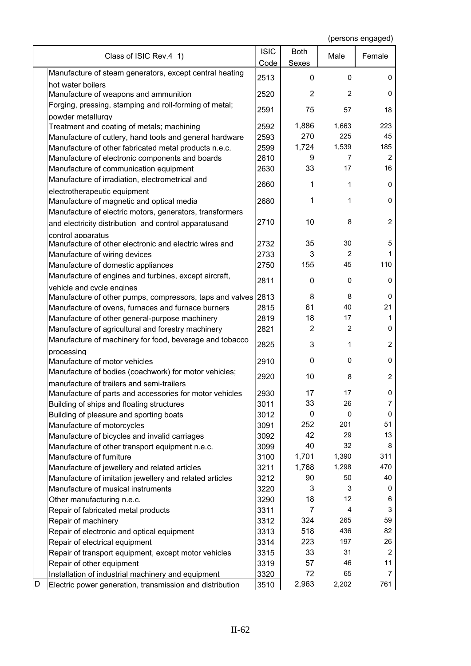|   | Class of ISIC Rev.4 1)                                        | <b>ISIC</b> | <b>Both</b>    | Male           | Female         |
|---|---------------------------------------------------------------|-------------|----------------|----------------|----------------|
|   | Manufacture of steam generators, except central heating       | Code        | <b>Sexes</b>   |                |                |
|   | hot water boilers                                             | 2513        | 0              | 0              | 0              |
|   | Manufacture of weapons and ammunition                         | 2520        | $\overline{2}$ | $\overline{2}$ | 0              |
|   | Forging, pressing, stamping and roll-forming of metal;        |             |                |                |                |
|   | powder metallurgy                                             | 2591        | 75             | 57             | 18             |
|   | Treatment and coating of metals; machining                    | 2592        | 1,886          | 1,663          | 223            |
|   | Manufacture of cutlery, hand tools and general hardware       | 2593        | 270            | 225            | 45             |
|   | Manufacture of other fabricated metal products n.e.c.         | 2599        | 1,724          | 1,539          | 185            |
|   | Manufacture of electronic components and boards               | 2610        | 9              | 7              | $\overline{2}$ |
|   | Manufacture of communication equipment                        | 2630        | 33             | 17             | 16             |
|   | Manufacture of irradiation, electrometrical and               |             |                |                |                |
|   | electrotherapeutic equipment                                  | 2660        | 1              | 1              | 0              |
|   | Manufacture of magnetic and optical media                     | 2680        | 1              | 1              | 0              |
|   | Manufacture of electric motors, generators, transformers      |             |                |                |                |
|   | and electricity distribution and control apparatusand         | 2710        | 10             | 8              | $\overline{2}$ |
|   | control apparatus                                             |             |                |                |                |
|   | Manufacture of other electronic and electric wires and        | 2732        | 35             | 30             | 5              |
|   | Manufacture of wiring devices                                 | 2733        | 3              | $\overline{2}$ | 1              |
|   | Manufacture of domestic appliances                            | 2750        | 155            | 45             | 110            |
|   | Manufacture of engines and turbines, except aircraft,         |             |                |                |                |
|   | vehicle and cycle engines                                     | 2811        | 0              | 0              | 0              |
|   | Manufacture of other pumps, compressors, taps and valves 2813 |             | 8              | 8              | 0              |
|   | Manufacture of ovens, furnaces and furnace burners            | 2815        | 61             | 40             | 21             |
|   | Manufacture of other general-purpose machinery                | 2819        | 18             | 17             | 1              |
|   | Manufacture of agricultural and forestry machinery            | 2821        | $\overline{2}$ | $\overline{2}$ | 0              |
|   | Manufacture of machinery for food, beverage and tobacco       |             |                |                |                |
|   | processing                                                    | 2825        | 3              | 1              | $\overline{2}$ |
|   | Manufacture of motor vehicles                                 | 2910        | 0              | 0              | 0              |
|   | Manufacture of bodies (coachwork) for motor vehicles;         |             |                |                |                |
|   | manufacture of trailers and semi-trailers                     | 2920        | 10             | 8              | 2              |
|   | Manufacture of parts and accessories for motor vehicles       | 2930        | 17             | 17             | 0              |
|   | Building of ships and floating structures                     | 3011        | 33             | 26             | 7              |
|   | Building of pleasure and sporting boats                       | 3012        | 0              | 0              | 0              |
|   | Manufacture of motorcycles                                    | 3091        | 252            | 201            | 51             |
|   | Manufacture of bicycles and invalid carriages                 | 3092        | 42             | 29             | 13             |
|   | Manufacture of other transport equipment n.e.c.               | 3099        | 40             | 32             | 8              |
|   | Manufacture of furniture                                      | 3100        | 1,701          | 1,390          | 311            |
|   | Manufacture of jewellery and related articles                 | 3211        | 1,768          | 1,298          | 470            |
|   | Manufacture of imitation jewellery and related articles       | 3212        | 90             | 50             | 40             |
|   | Manufacture of musical instruments                            | 3220        | 3              | 3              | 0              |
|   | Other manufacturing n.e.c.                                    | 3290        | 18             | 12             | 6              |
|   | Repair of fabricated metal products                           | 3311        | $\overline{7}$ | $\overline{4}$ | 3              |
|   | Repair of machinery                                           | 3312        | 324            | 265            | 59             |
|   | Repair of electronic and optical equipment                    | 3313        | 518            | 436            | 82             |
|   | Repair of electrical equipment                                | 3314        | 223            | 197            | 26             |
|   | Repair of transport equipment, except motor vehicles          | 3315        | 33             | 31             | 2              |
|   | Repair of other equipment                                     | 3319        | 57             | 46             | 11             |
|   | Installation of industrial machinery and equipment            | 3320        | 72             | 65             | 7              |
| D | Electric power generation, transmission and distribution      | 3510        | 2,963          | 2,202          | 761            |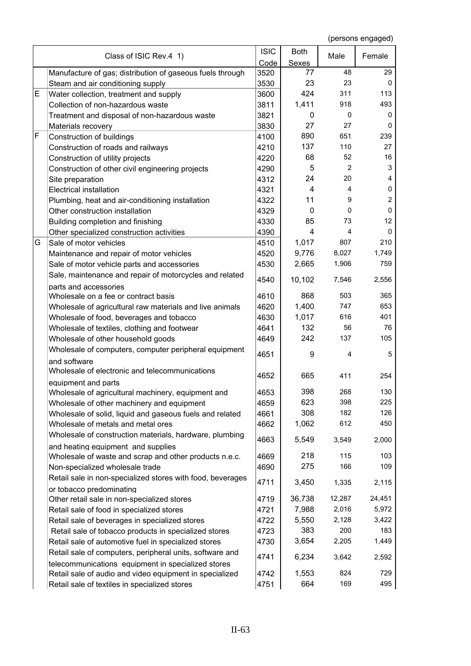|   | Class of ISIC Rev.4 1)                                     | <b>ISIC</b> | <b>Both</b>  | Male           | Female         |
|---|------------------------------------------------------------|-------------|--------------|----------------|----------------|
|   |                                                            | Code        | <b>Sexes</b> |                |                |
|   | Manufacture of gas; distribution of gaseous fuels through  | 3520        | 77           | 48             | 29             |
|   | Steam and air conditioning supply                          | 3530        | 23           | 23             | 0              |
| Е | Water collection, treatment and supply                     | 3600        | 424          | 311            | 113            |
|   | Collection of non-hazardous waste                          | 3811        | 1,411        | 918            | 493            |
|   | Treatment and disposal of non-hazardous waste              | 3821        | 0            | 0              | 0              |
|   | Materials recovery                                         | 3830        | 27           | 27             | 0              |
| F | Construction of buildings                                  | 4100        | 890          | 651            | 239            |
|   | Construction of roads and railways                         | 4210        | 137          | 110            | 27             |
|   | Construction of utility projects                           | 4220        | 68           | 52             | 16             |
|   | Construction of other civil engineering projects           | 4290        | 5            | 2              | 3              |
|   | Site preparation                                           | 4312        | 24           | 20             | 4              |
|   | <b>Electrical installation</b>                             | 4321        | 4            | $\overline{4}$ | 0              |
|   | Plumbing, heat and air-conditioning installation           | 4322        | 11           | 9              | $\overline{c}$ |
|   | Other construction installation                            | 4329        | $\mathbf{0}$ | 0              | $\mathbf 0$    |
|   | Building completion and finishing                          | 4330        | 85           | 73             | 12             |
|   | Other specialized construction activities                  | 4390        | 4            | $\overline{4}$ | 0              |
| G | Sale of motor vehicles                                     | 4510        | 1,017        | 807            | 210            |
|   | Maintenance and repair of motor vehicles                   | 4520        | 9,776        | 8,027          | 1,749          |
|   | Sale of motor vehicle parts and accessories                | 4530        | 2,665        | 1,906          | 759            |
|   | Sale, maintenance and repair of motorcycles and related    |             |              |                |                |
|   | parts and accessories                                      | 4540        | 10,102       | 7,546          | 2,556          |
|   | Wholesale on a fee or contract basis                       | 4610        | 868          | 503            | 365            |
|   | Wholesale of agricultural raw materials and live animals   | 4620        | 1,400        | 747            | 653            |
|   | Wholesale of food, beverages and tobacco                   | 4630        | 1,017        | 616            | 401            |
|   | Wholesale of textiles, clothing and footwear               | 4641        | 132          | 56             | 76             |
|   | Wholesale of other household goods                         | 4649        | 242          | 137            | 105            |
|   | Wholesale of computers, computer peripheral equipment      |             |              |                |                |
|   | and software                                               | 4651        | 9            | 4              | 5              |
|   | Wholesale of electronic and telecommunications             |             |              |                |                |
|   | equipment and parts                                        | 4652        | 665          | 411            | 254            |
|   | Wholesale of agricultural machinery, equipment and         | 4653        | 398          | 268            | 130            |
|   | Wholesale of other machinery and equipment                 | 4659        | 623          | 398            | 225            |
|   | Wholesale of solid, liquid and gaseous fuels and related   | 4661        | 308          | 182            | 126            |
|   | Wholesale of metals and metal ores                         | 4662        | 1,062        | 612            | 450            |
|   | Wholesale of construction materials, hardware, plumbing    |             |              |                |                |
|   | and heating equipment and supplies                         | 4663        | 5,549        | 3,549          | 2,000          |
|   | Wholesale of waste and scrap and other products n.e.c.     | 4669        | 218          | 115            | 103            |
|   | Non-specialized wholesale trade                            | 4690        | 275          | 166            | 109            |
|   | Retail sale in non-specialized stores with food, beverages |             |              |                |                |
|   | or tobacco predominating                                   | 4711        | 3,450        | 1,335          | 2,115          |
|   | Other retail sale in non-specialized stores                | 4719        | 36,738       | 12,287         | 24,451         |
|   | Retail sale of food in specialized stores                  | 4721        | 7,988        | 2,016          | 5,972          |
|   | Retail sale of beverages in specialized stores             | 4722        | 5,550        | 2,128          | 3,422          |
|   | Retail sale of tobacco products in specialized stores      | 4723        | 383          | 200            | 183            |
|   |                                                            | 4730        | 3,654        | 2,205          | 1,449          |
|   | Retail sale of automotive fuel in specialized stores       |             |              |                |                |
|   | Retail sale of computers, peripheral units, software and   | 4741        | 6,234        | 3,642          | 2,592          |
|   | telecommunications equipment in specialized stores         | 4742        | 1,553        | 824            | 729            |
|   | Retail sale of audio and video equipment in specialized    |             | 664          | 169            | 495            |
|   | Retail sale of textiles in specialized stores              | 4751        |              |                |                |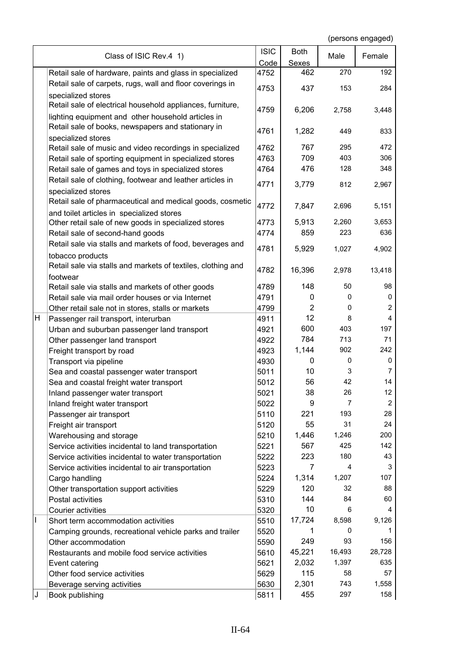|    | Class of ISIC Rev.4 1)                                       | <b>ISIC</b> | <b>Both</b>    | Male   | Female         |
|----|--------------------------------------------------------------|-------------|----------------|--------|----------------|
|    |                                                              | Code        | <b>Sexes</b>   |        |                |
|    | Retail sale of hardware, paints and glass in specialized     | 4752        | 462            | 270    | 192            |
|    | Retail sale of carpets, rugs, wall and floor coverings in    | 4753        | 437            | 153    | 284            |
|    | specialized stores                                           |             |                |        |                |
|    | Retail sale of electrical household appliances, furniture,   | 4759        | 6,206          | 2,758  | 3,448          |
|    | lighting equipment and other household articles in           |             |                |        |                |
|    | Retail sale of books, newspapers and stationary in           | 4761        | 1,282          | 449    | 833            |
|    | specialized stores                                           |             |                |        |                |
|    | Retail sale of music and video recordings in specialized     | 4762        | 767            | 295    | 472            |
|    | Retail sale of sporting equipment in specialized stores      | 4763        | 709            | 403    | 306            |
|    | Retail sale of games and toys in specialized stores          | 4764        | 476            | 128    | 348            |
|    | Retail sale of clothing, footwear and leather articles in    | 4771        | 3,779          | 812    | 2,967          |
|    | specialized stores                                           |             |                |        |                |
|    | Retail sale of pharmaceutical and medical goods, cosmetic    | 4772        | 7,847          | 2,696  | 5,151          |
|    | and toilet articles in specialized stores                    |             |                |        |                |
|    | Other retail sale of new goods in specialized stores         | 4773        | 5,913          | 2,260  | 3,653          |
|    | Retail sale of second-hand goods                             | 4774        | 859            | 223    | 636            |
|    | Retail sale via stalls and markets of food, beverages and    | 4781        | 5,929          | 1,027  | 4,902          |
|    | tobacco products                                             |             |                |        |                |
|    | Retail sale via stalls and markets of textiles, clothing and | 4782        | 16,396         | 2,978  | 13,418         |
|    | footwear                                                     |             |                |        |                |
|    | Retail sale via stalls and markets of other goods            | 4789        | 148            | 50     | 98             |
|    | Retail sale via mail order houses or via Internet            | 4791        | 0              | 0      | 0              |
|    | Other retail sale not in stores, stalls or markets           | 4799        | $\overline{2}$ | 0      | $\overline{2}$ |
| н  | Passenger rail transport, interurban                         | 4911        | 12             | 8      | 4              |
|    | Urban and suburban passenger land transport                  | 4921        | 600            | 403    | 197            |
|    | Other passenger land transport                               | 4922        | 784            | 713    | 71             |
|    | Freight transport by road                                    | 4923        | 1,144          | 902    | 242            |
|    | Transport via pipeline                                       | 4930        | 0              | 0      | 0              |
|    | Sea and coastal passenger water transport                    | 5011        | 10             | 3      | 7              |
|    | Sea and coastal freight water transport                      | 5012        | 56             | 42     | 14             |
|    | Inland passenger water transport                             | 5021        | 38             | 26     | 12             |
|    | Inland freight water transport                               | 5022        | 9              | 7      | $\overline{c}$ |
|    | Passenger air transport                                      | 5110        | 221            | 193    | 28             |
|    | Freight air transport                                        | 5120        | 55             | 31     | 24             |
|    | Warehousing and storage                                      | 5210        | 1,446          | 1,246  | 200            |
|    | Service activities incidental to land transportation         | 5221        | 567            | 425    | 142            |
|    | Service activities incidental to water transportation        | 5222        | 223            | 180    | 43             |
|    | Service activities incidental to air transportation          | 5223        | 7              | 4      | 3              |
|    | Cargo handling                                               | 5224        | 1,314          | 1,207  | 107            |
|    | Other transportation support activities                      | 5229        | 120            | 32     | 88             |
|    | Postal activities                                            | 5310        | 144            | 84     | 60             |
|    | Courier activities                                           | 5320        | 10             | 6      | 4              |
| I  | Short term accommodation activities                          | 5510        | 17,724         | 8,598  | 9,126          |
|    | Camping grounds, recreational vehicle parks and trailer      | 5520        | 1              | 0      | 1              |
|    | Other accommodation                                          | 5590        | 249            | 93     | 156            |
|    | Restaurants and mobile food service activities               | 5610        | 45,221         | 16,493 | 28,728         |
|    | Event catering                                               | 5621        | 2,032          | 1,397  | 635            |
|    | Other food service activities                                | 5629        | 115            | 58     | 57             |
|    | Beverage serving activities                                  | 5630        | 2,301          | 743    | 1,558          |
| IJ | Book publishing                                              | 5811        | 455            | 297    | 158            |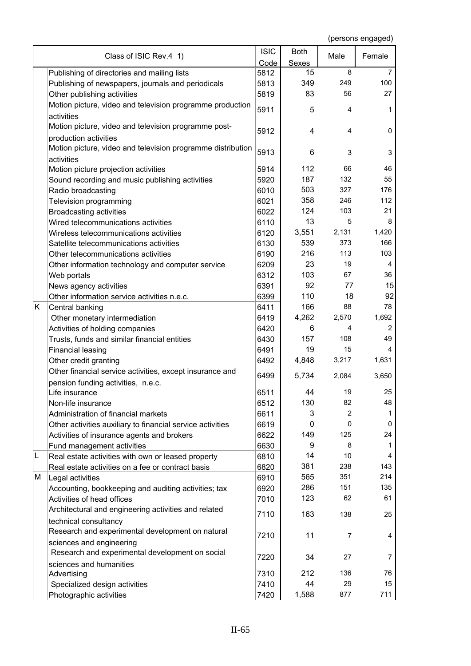|   | Class of ISIC Rev.4 1)                                                                                  | <b>ISIC</b>  | <b>Both</b>        | Male           | Female         |
|---|---------------------------------------------------------------------------------------------------------|--------------|--------------------|----------------|----------------|
|   |                                                                                                         | Code<br>5812 | <b>Sexes</b><br>15 | 8              | 7              |
|   | Publishing of directories and mailing lists                                                             | 5813         | 349                | 249            | 100            |
|   | Publishing of newspapers, journals and periodicals<br>Other publishing activities                       | 5819         | 83                 | 56             | 27             |
|   | Motion picture, video and television programme production                                               |              |                    |                |                |
|   | activities                                                                                              | 5911         | 5                  | 4              | 1              |
|   | Motion picture, video and television programme post-                                                    |              |                    |                |                |
|   | production activities                                                                                   | 5912         | 4                  | $\overline{4}$ | 0              |
|   | Motion picture, video and television programme distribution                                             |              |                    |                |                |
|   | activities                                                                                              | 5913         | 6                  | 3              | 3              |
|   | Motion picture projection activities                                                                    | 5914         | 112                | 66             | 46             |
|   | Sound recording and music publishing activities                                                         | 5920         | 187                | 132            | 55             |
|   | Radio broadcasting                                                                                      | 6010         | 503                | 327            | 176            |
|   | Television programming                                                                                  | 6021         | 358                | 246            | 112            |
|   | <b>Broadcasting activities</b>                                                                          | 6022         | 124                | 103            | 21             |
|   | Wired telecommunications activities                                                                     | 6110         | 13                 | 5              | 8              |
|   | Wireless telecommunications activities                                                                  | 6120         | 3,551              | 2,131          | 1,420          |
|   | Satellite telecommunications activities                                                                 | 6130         | 539                | 373            | 166            |
|   | Other telecommunications activities                                                                     | 6190         | 216                | 113            | 103            |
|   | Other information technology and computer service                                                       | 6209         | 23                 | 19             | 4              |
|   | Web portals                                                                                             | 6312         | 103                | 67             | 36             |
|   | News agency activities                                                                                  | 6391         | 92                 | 77             | 15             |
|   | Other information service activities n.e.c.                                                             | 6399         | 110                | 18             | 92             |
| Κ | Central banking                                                                                         | 6411         | 166                | 88             | 78             |
|   | Other monetary intermediation                                                                           | 6419         | 4,262              | 2,570          | 1,692          |
|   | Activities of holding companies                                                                         | 6420         | 6                  | 4              | $\overline{c}$ |
|   | Trusts, funds and similar financial entities                                                            | 6430         | 157                | 108            | 49             |
|   | <b>Financial leasing</b>                                                                                | 6491         | 19                 | 15             | 4              |
|   | Other credit granting                                                                                   | 6492         | 4,848              | 3,217          | 1,631          |
|   | Other financial service activities, except insurance and                                                | 6499         | 5,734              | 2,084          | 3,650          |
|   | pension funding activities, n.e.c.                                                                      |              |                    |                |                |
|   | Life insurance                                                                                          | 6511         | 44                 | 19             | 25             |
|   | Non-life insurance                                                                                      | 6512         | 130                | 82             | 48             |
|   | Administration of financial markets                                                                     | 6611         | 3                  | $\overline{2}$ | 1              |
|   | Other activities auxiliary to financial service activities                                              | 6619         | 0                  | 0              | 0              |
|   | Activities of insurance agents and brokers                                                              | 6622         | 149                | 125            | 24             |
| L | Fund management activities                                                                              | 6630         | 9<br>14            | 8<br>10        | 1<br>4         |
|   | Real estate activities with own or leased property<br>Real estate activities on a fee or contract basis | 6810<br>6820 | 381                | 238            | 143            |
| М | Legal activities                                                                                        | 6910         | 565                | 351            | 214            |
|   | Accounting, bookkeeping and auditing activities; tax                                                    | 6920         | 286                | 151            | 135            |
|   | Activities of head offices                                                                              | 7010         | 123                | 62             | 61             |
|   | Architectural and engineering activities and related                                                    |              |                    |                |                |
|   | technical consultancy                                                                                   | 7110         | 163                | 138            | 25             |
|   | Research and experimental development on natural                                                        |              |                    |                |                |
|   | sciences and engineering                                                                                | 7210         | 11                 | $\overline{7}$ | 4              |
|   | Research and experimental development on social                                                         |              |                    |                |                |
|   | sciences and humanities                                                                                 | 7220         | 34                 | 27             | 7              |
|   | Advertising                                                                                             | 7310         | 212                | 136            | 76             |
|   | Specialized design activities                                                                           | 7410         | 44                 | 29             | 15             |
|   | Photographic activities                                                                                 | 7420         | 1,588              | 877            | 711            |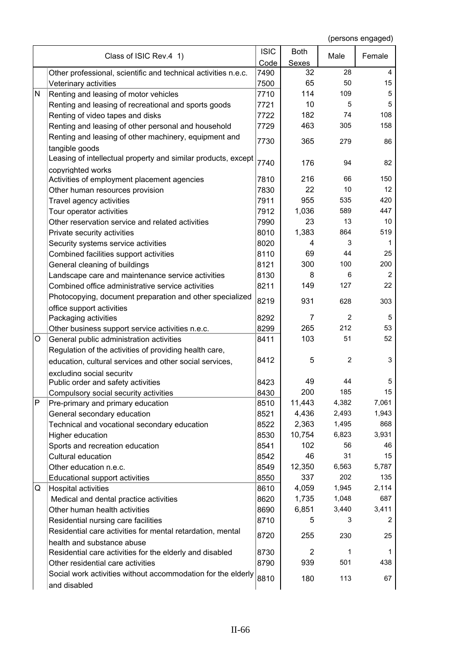|              | Class of ISIC Rev.4 1)                                          | <b>ISIC</b> | <b>Both</b>    | Male           | Female         |
|--------------|-----------------------------------------------------------------|-------------|----------------|----------------|----------------|
|              |                                                                 | Code        | <b>Sexes</b>   |                |                |
|              | Other professional, scientific and technical activities n.e.c.  | 7490        | 32             | 28             | 4              |
|              | Veterinary activities                                           | 7500        | 65             | 50             | 15             |
| $\mathsf{N}$ | Renting and leasing of motor vehicles                           | 7710        | 114            | 109            | 5              |
|              | Renting and leasing of recreational and sports goods            | 7721        | 10             | 5              | 5              |
|              | Renting of video tapes and disks                                | 7722        | 182            | 74             | 108            |
|              | Renting and leasing of other personal and household             | 7729        | 463            | 305            | 158            |
|              | Renting and leasing of other machinery, equipment and           | 7730        | 365            | 279            | 86             |
|              | tangible goods                                                  |             |                |                |                |
|              | Leasing of intellectual property and similar products, except   | 7740        |                | 94             |                |
|              | copyrighted works                                               |             | 176            |                | 82             |
|              | Activities of employment placement agencies                     | 7810        | 216            | 66             | 150            |
|              | Other human resources provision                                 | 7830        | 22             | 10             | 12             |
|              | Travel agency activities                                        | 7911        | 955            | 535            | 420            |
|              | Tour operator activities                                        | 7912        | 1,036          | 589            | 447            |
|              | Other reservation service and related activities                | 7990        | 23             | 13             | 10             |
|              | Private security activities                                     | 8010        | 1,383          | 864            | 519            |
|              | Security systems service activities                             | 8020        | 4              | 3              | 1              |
|              | Combined facilities support activities                          | 8110        | 69             | 44             | 25             |
|              | General cleaning of buildings                                   | 8121        | 300            | 100            | 200            |
|              | Landscape care and maintenance service activities               | 8130        | 8              | 6              | $\overline{2}$ |
|              | Combined office administrative service activities               | 8211        | 149            | 127            | 22             |
|              | Photocopying, document preparation and other specialized        |             |                |                |                |
|              | office support activities                                       | 8219        | 931            | 628            | 303            |
|              | Packaging activities                                            | 8292        | 7              | $\overline{2}$ | 5              |
|              | Other business support service activities n.e.c.                | 8299        | 265            | 212            | 53             |
| O            | General public administration activities                        | 8411        | 103            | 51             | 52             |
|              | Regulation of the activities of providing health care,          |             |                |                |                |
|              | education, cultural services and other social services,         | 8412        | 5              | $\overline{2}$ | 3              |
|              |                                                                 |             |                |                |                |
|              | excluding social security<br>Public order and safety activities | 8423        | 49             | 44             | 5              |
|              | Compulsory social security activities                           | 8430        | 200            | 185            | 15             |
| $\mathsf P$  | Pre-primary and primary education                               | 8510        | 11,443         | 4,382          | 7,061          |
|              | General secondary education                                     | 8521        | 4,436          | 2,493          | 1,943          |
|              | Technical and vocational secondary education                    | 8522        | 2,363          | 1,495          | 868            |
|              |                                                                 | 8530        | 10,754         | 6,823          | 3,931          |
|              | Higher education                                                |             | 102            | 56             | 46             |
|              | Sports and recreation education<br>Cultural education           | 8541        | 46             | 31             | 15             |
|              |                                                                 | 8542        |                | 6,563          | 5,787          |
|              | Other education n.e.c.                                          | 8549        | 12,350<br>337  | 202            | 135            |
|              | Educational support activities                                  | 8550        |                |                |                |
| Q            | <b>Hospital activities</b>                                      | 8610        | 4,059          | 1,945          | 2,114          |
|              | Medical and dental practice activities                          | 8620        | 1,735          | 1,048          | 687            |
|              | Other human health activities                                   | 8690        | 6,851          | 3,440          | 3,411          |
|              | Residential nursing care facilities                             | 8710        | 5              | 3              | 2              |
|              | Residential care activities for mental retardation, mental      | 8720        | 255            | 230            | 25             |
|              | health and substance abuse                                      |             |                |                |                |
|              | Residential care activities for the elderly and disabled        | 8730        | $\overline{c}$ | 1              | 1              |
|              | Other residential care activities                               | 8790        | 939            | 501            | 438            |
|              | Social work activities without accommodation for the elderly    | 8810        | 180            | 113            | 67             |
|              | and disabled                                                    |             |                |                |                |